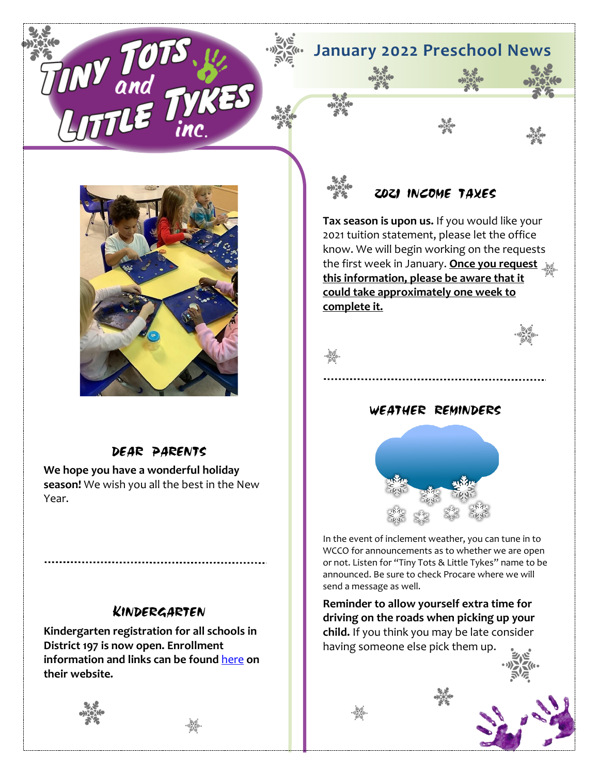**January 2022 Preschool News**



 $\mathbf{U}^{\boldsymbol{U}}$ 

# DEAR PARENTS

**We hope you have a wonderful holiday season!** We wish you all the best in the New Year.

# KINDERGARTEN

**Kindergarten registration for all schools in District 197 is now open. Enrollment information and links can be found** [here](https://www.isd197.org/district/enrollment) **on their website.** 





# 2021 INCOME TAXES

**Tax season is upon us.** If you would like your 2021 tuition statement, please let the office know. We will begin working on the requests the first week in January. **Once you request this information, please be aware that it could take approximately one week to complete it.**



## WEATHER REMINDERS



In the event of inclement weather, you can tune in to WCCO for announcements as to whether we are open or not. Listen for "Tiny Tots & Little Tykes" name to be announced. Be sure to check Procare where we will send a message as well.

**Reminder to allow yourself extra time for driving on the roads when picking up your child.** If you think you may be late consider having someone else pick them up.